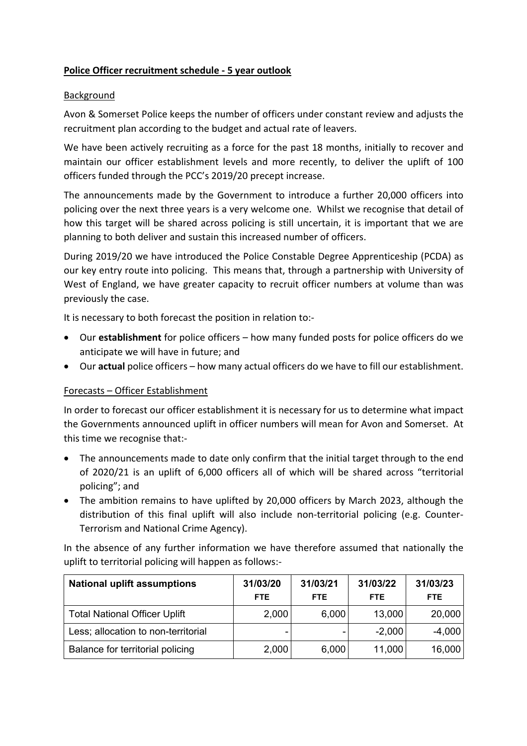## **Police Officer recruitment schedule ‐ 5 year outlook**

#### Background

Avon & Somerset Police keeps the number of officers under constant review and adjusts the recruitment plan according to the budget and actual rate of leavers.

We have been actively recruiting as a force for the past 18 months, initially to recover and maintain our officer establishment levels and more recently, to deliver the uplift of 100 officers funded through the PCC's 2019/20 precept increase.

The announcements made by the Government to introduce a further 20,000 officers into policing over the next three years is a very welcome one. Whilst we recognise that detail of how this target will be shared across policing is still uncertain, it is important that we are planning to both deliver and sustain this increased number of officers.

During 2019/20 we have introduced the Police Constable Degree Apprenticeship (PCDA) as our key entry route into policing. This means that, through a partnership with University of West of England, we have greater capacity to recruit officer numbers at volume than was previously the case.

It is necessary to both forecast the position in relation to:‐

- Our **establishment** for police officers how many funded posts for police officers do we anticipate we will have in future; and
- Our **actual** police officers how many actual officers do we have to fill our establishment.

## Forecasts – Officer Establishment

In order to forecast our officer establishment it is necessary for us to determine what impact the Governments announced uplift in officer numbers will mean for Avon and Somerset. At this time we recognise that:‐

- The announcements made to date only confirm that the initial target through to the end of 2020/21 is an uplift of 6,000 officers all of which will be shared across "territorial policing"; and
- The ambition remains to have uplifted by 20,000 officers by March 2023, although the distribution of this final uplift will also include non‐territorial policing (e.g. Counter‐ Terrorism and National Crime Agency).

In the absence of any further information we have therefore assumed that nationally the uplift to territorial policing will happen as follows:‐

| <b>National uplift assumptions</b>   | 31/03/20<br>FTE. | 31/03/21<br><b>FTE</b> | 31/03/22<br><b>FTE</b> | 31/03/23<br>FTE. |
|--------------------------------------|------------------|------------------------|------------------------|------------------|
| <b>Total National Officer Uplift</b> | 2,000            | 6,000                  | 13,000                 | 20,000           |
| Less; allocation to non-territorial  |                  | -                      | $-2,000$               | $-4,000$         |
| Balance for territorial policing     | 2,000            | 6,000                  | 11,000                 | 16,000           |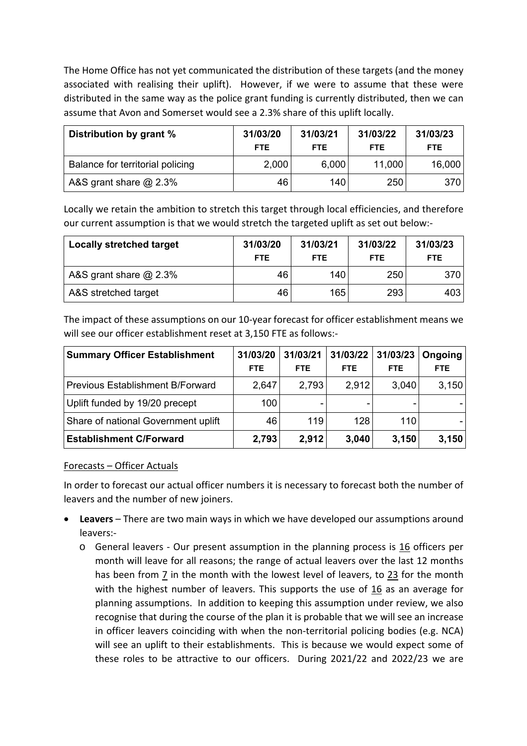The Home Office has not yet communicated the distribution of these targets (and the money associated with realising their uplift). However, if we were to assume that these were distributed in the same way as the police grant funding is currently distributed, then we can assume that Avon and Somerset would see a 2.3% share of this uplift locally.

| Distribution by grant %          | 31/03/20<br>FTE. | 31/03/21<br><b>FTE</b> | 31/03/22<br><b>FTE</b> | 31/03/23<br><b>FTE</b> |
|----------------------------------|------------------|------------------------|------------------------|------------------------|
| Balance for territorial policing | 2,000            | 6,000                  | 11,000                 | 16,000                 |
| A&S grant share $@$ 2.3%         | 46               | 140.                   | 250                    | 370                    |

Locally we retain the ambition to stretch this target through local efficiencies, and therefore our current assumption is that we would stretch the targeted uplift as set out below:‐

| <b>Locally stretched target</b> | 31/03/20<br>FTE. | 31/03/21<br><b>FTE</b> | 31/03/22<br><b>FTE</b> | 31/03/23<br><b>FTE</b> |
|---------------------------------|------------------|------------------------|------------------------|------------------------|
| A&S grant share $@$ 2.3%        | 46               | 140                    | 250                    | 370                    |
| A&S stretched target            | 46               | 165                    | 293                    | 4031                   |

The impact of these assumptions on our 10‐year forecast for officer establishment means we will see our officer establishment reset at 3,150 FTE as follows:‐

| <b>Summary Officer Establishment</b>    | 31/03/20 | 31/03/21   | 31/03/22   | 31/03/23   | Ongoing    |
|-----------------------------------------|----------|------------|------------|------------|------------|
|                                         | FTE.     | <b>FTE</b> | <b>FTE</b> | <b>FTE</b> | <b>FTE</b> |
| <b>Previous Establishment B/Forward</b> | 2,647    | 2,793      | 2,912      | 3,040      | 3,150      |
| Uplift funded by 19/20 precept          | 100      |            |            |            |            |
| Share of national Government uplift     | 46       | 119        | 128        | 110        |            |
| <b>Establishment C/Forward</b>          | 2,793    | 2,912      | 3,040      | 3,150      | 3,150      |

## Forecasts – Officer Actuals

In order to forecast our actual officer numbers it is necessary to forecast both the number of leavers and the number of new joiners.

- **Leavers** There are two main ways in which we have developed our assumptions around leavers:‐
	- $\circ$  General leavers Our present assumption in the planning process is 16 officers per month will leave for all reasons; the range of actual leavers over the last 12 months has been from 7 in the month with the lowest level of leavers, to 23 for the month with the highest number of leavers. This supports the use of 16 as an average for planning assumptions. In addition to keeping this assumption under review, we also recognise that during the course of the plan it is probable that we will see an increase in officer leavers coinciding with when the non-territorial policing bodies (e.g. NCA) will see an uplift to their establishments. This is because we would expect some of these roles to be attractive to our officers. During  $2021/22$  and  $2022/23$  we are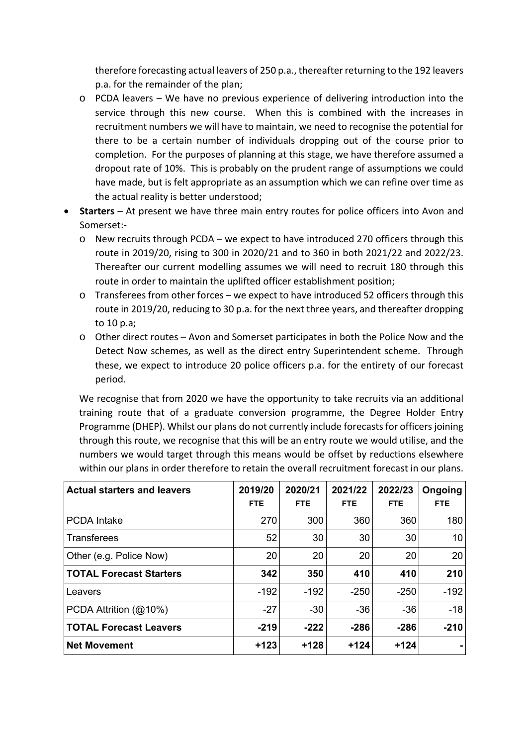therefore forecasting actual leavers of 250 p.a., thereafter returning to the 192 leavers p.a. for the remainder of the plan;

- o PCDA leavers We have no previous experience of delivering introduction into the service through this new course. When this is combined with the increases in recruitment numbers we will have to maintain, we need to recognise the potential for there to be a certain number of individuals dropping out of the course prior to completion. For the purposes of planning at this stage, we have therefore assumed a dropout rate of 10%. This is probably on the prudent range of assumptions we could have made, but is felt appropriate as an assumption which we can refine over time as the actual reality is better understood;
- **Starters** At present we have three main entry routes for police officers into Avon and Somerset:‐
	- $\circ$  New recruits through PCDA we expect to have introduced 270 officers through this route in 2019/20, rising to 300 in 2020/21 and to 360 in both 2021/22 and 2022/23. Thereafter our current modelling assumes we will need to recruit 180 through this route in order to maintain the uplifted officer establishment position;
	- o Transferees from other forces we expect to have introduced 52 officers through this route in 2019/20, reducing to 30 p.a. for the next three years, and thereafter dropping to 10 p.a;
	- o Other direct routes Avon and Somerset participates in both the Police Now and the Detect Now schemes, as well as the direct entry Superintendent scheme. Through these, we expect to introduce 20 police officers p.a. for the entirety of our forecast period.

We recognise that from 2020 we have the opportunity to take recruits via an additional training route that of a graduate conversion programme, the Degree Holder Entry Programme (DHEP). Whilst our plans do not currently include forecasts for officers joining through this route, we recognise that this will be an entry route we would utilise, and the numbers we would target through this means would be offset by reductions elsewhere within our plans in order therefore to retain the overall recruitment forecast in our plans.

| <b>Actual starters and leavers</b> | 2019/20<br>FTE. | 2020/21<br><b>FTE</b> | 2021/22<br>FTE. | 2022/23<br><b>FTE</b> | Ongoing<br><b>FTE</b> |
|------------------------------------|-----------------|-----------------------|-----------------|-----------------------|-----------------------|
| <b>PCDA</b> Intake                 | 270             | 300                   | 360             | 360                   | 180                   |
| <b>Transferees</b>                 | 52              | 30                    | 30              | 30                    | 10                    |
| Other (e.g. Police Now)            | 20              | 20                    | 20              | 20                    | 20                    |
| <b>TOTAL Forecast Starters</b>     | 342             | 350                   | 410             | 410                   | 210                   |
| Leavers                            | $-192$          | $-192$                | $-250$          | $-250$                | $-192$                |
| PCDA Attrition (@10%)              | $-27$           | $-30$                 | $-36$           | $-36$                 | $-18$                 |
| <b>TOTAL Forecast Leavers</b>      | $-219$          | $-222$                | $-286$          | $-286$                | $-210$                |
| <b>Net Movement</b>                | $+123$          | $+128$                | $+124$          | $+124$                |                       |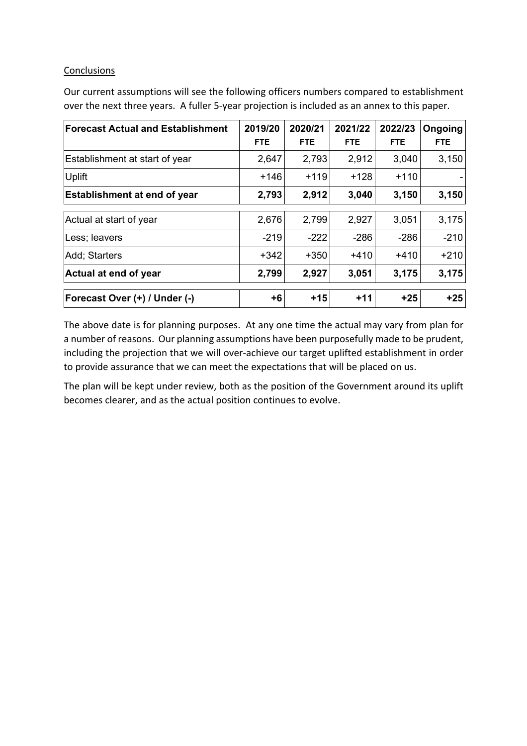#### **Conclusions**

Our current assumptions will see the following officers numbers compared to establishment over the next three years. A fuller 5‐year projection is included as an annex to this paper.

| <b>Forecast Actual and Establishment</b> | 2019/20<br><b>FTE</b> | 2020/21<br><b>FTE</b> | 2021/22<br><b>FTE</b> | 2022/23<br><b>FTE</b> | Ongoing<br><b>FTE</b> |
|------------------------------------------|-----------------------|-----------------------|-----------------------|-----------------------|-----------------------|
| Establishment at start of year           | 2,647                 | 2,793                 | 2,912                 | 3,040                 | 3,150                 |
| <b>Uplift</b>                            | $+146$                | $+119$                | $+128$                | $+110$                |                       |
| <b>Establishment at end of year</b>      | 2,793                 | 2,912                 | 3,040                 | 3,150                 | 3,150                 |
| Actual at start of year                  | 2,676                 | 2,799                 | 2,927                 | 3,051                 | 3,175                 |
| Less; leavers                            | $-219$                | $-222$                | $-286$                | $-286$                | $-210$                |
| Add; Starters                            | $+342$                | $+350$                | $+410$                | $+410$                | $+210$                |
| Actual at end of year                    | 2,799                 | 2,927                 | 3,051                 | 3,175                 | 3,175                 |
| Forecast Over (+) / Under (-)            | $+6$                  | $+15$                 | $+11$                 | $+25$                 | $+25$                 |

The above date is for planning purposes. At any one time the actual may vary from plan for a number of reasons. Our planning assumptions have been purposefully made to be prudent, including the projection that we will over-achieve our target uplifted establishment in order to provide assurance that we can meet the expectations that will be placed on us.

The plan will be kept under review, both as the position of the Government around its uplift becomes clearer, and as the actual position continues to evolve.